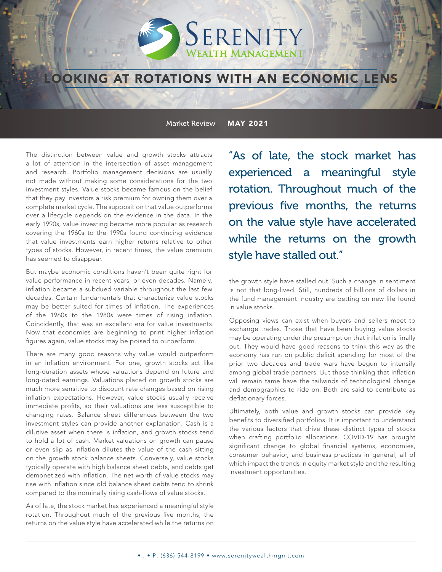## SERENITY **WEALTH MANAGEMENT**

## **OOKING AT ROTATIONS WITH AN ECONOMIC LENS**

Market Review MAY 2021

The distinction between value and growth stocks attracts a lot of attention in the intersection of asset management and research. Portfolio management decisions are usually not made without making some considerations for the two investment styles. Value stocks became famous on the belief that they pay investors a risk premium for owning them over a complete market cycle. The supposition that value outperforms over a lifecycle depends on the evidence in the data. In the early 1990s, value investing became more popular as research covering the 1960s to the 1990s found convincing evidence that value investments earn higher returns relative to other types of stocks. However, in recent times, the value premium has seemed to disappear.

But maybe economic conditions haven't been quite right for value performance in recent years, or even decades. Namely, inflation became a subdued variable throughout the last few decades. Certain fundamentals that characterize value stocks may be better suited for times of inflation. The experiences of the 1960s to the 1980s were times of rising inflation. Coincidently, that was an excellent era for value investments. Now that economies are beginning to print higher inflation figures again, value stocks may be poised to outperform.

There are many good reasons why value would outperform in an inflation environment. For one, growth stocks act like long-duration assets whose valuations depend on future and long-dated earnings. Valuations placed on growth stocks are much more sensitive to discount rate changes based on rising inflation expectations. However, value stocks usually receive immediate profits, so their valuations are less susceptible to changing rates. Balance sheet differences between the two investment styles can provide another explanation. Cash is a dilutive asset when there is inflation, and growth stocks tend to hold a lot of cash. Market valuations on growth can pause or even slip as inflation dilutes the value of the cash sitting on the growth stock balance sheets. Conversely, value stocks typically operate with high balance sheet debts, and debts get demonetized with inflation. The net worth of value stocks may rise with inflation since old balance sheet debts tend to shrink compared to the nominally rising cash-flows of value stocks.

As of late, the stock market has experienced a meaningful style rotation. Throughout much of the previous five months, the returns on the value style have accelerated while the returns on "As of late, the stock market has experienced a meaningful style rotation. Throughout much of the previous five months, the returns on the value style have accelerated while the returns on the growth style have stalled out."

the growth style have stalled out. Such a change in sentiment is not that long-lived. Still, hundreds of billions of dollars in the fund management industry are betting on new life found in value stocks.

Opposing views can exist when buyers and sellers meet to exchange trades. Those that have been buying value stocks may be operating under the presumption that inflation is finally out. They would have good reasons to think this way as the economy has run on public deficit spending for most of the prior two decades and trade wars have begun to intensify among global trade partners. But those thinking that inflation will remain tame have the tailwinds of technological change and demographics to ride on. Both are said to contribute as deflationary forces.

Ultimately, both value and growth stocks can provide key benefits to diversified portfolios. It is important to understand the various factors that drive these distinct types of stocks when crafting portfolio allocations. COVID-19 has brought significant change to global financial systems, economies, consumer behavior, and business practices in general, all of which impact the trends in equity market style and the resulting investment opportunities.